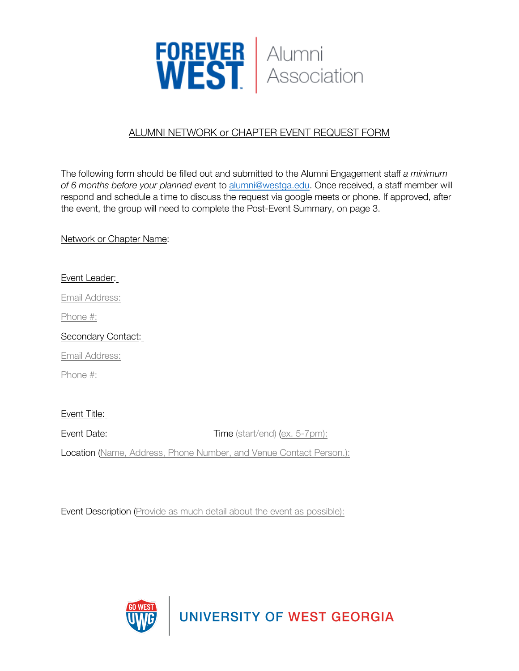

## ALUMNI NETWORK or CHAPTER EVENT REQUEST FORM

The following form should be filled out and submitted to the Alumni Engagement staff *a minimum of 6 months before your planned even*t to [alumni@westga.edu](mailto:alumni@georgiasouthern.edu). Once received, a staff member will respond and schedule a time to discuss the request via google meets or phone. If approved, after the event, the group will need to complete the Post-Event Summary, on page 3.

Network or Chapter Name:

## Event Leader:

Email Address:

Phone #:

Secondary Contact:

Email Address:

Phone #:

## Event Title:

Event Date: Time (start/end) (ex. 5-7pm):

Location (Name, Address, Phone Number, and Venue Contact Person.):

Event Description (Provide as much detail about the event as possible):



UNIVERSITY OF WEST GEORGIA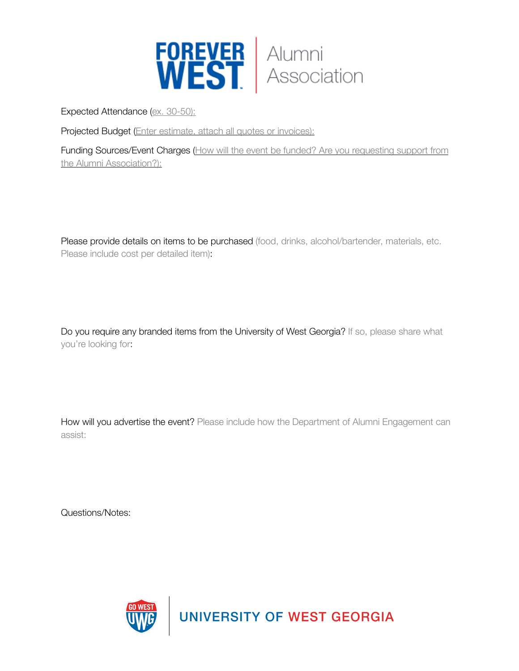

Expected Attendance (ex. 30-50):

Projected Budget (Enter estimate, attach all quotes or invoices):

Funding Sources/Event Charges (How will the event be funded? Are you requesting support from the Alumni Association?):

Please provide details on items to be purchased (food, drinks, alcohol/bartender, materials, etc. Please include cost per detailed item):

Do you require any branded items from the University of West Georgia? If so, please share what you're looking for:

How will you advertise the event? Please include how the Department of Alumni Engagement can assist:

Questions/Notes: